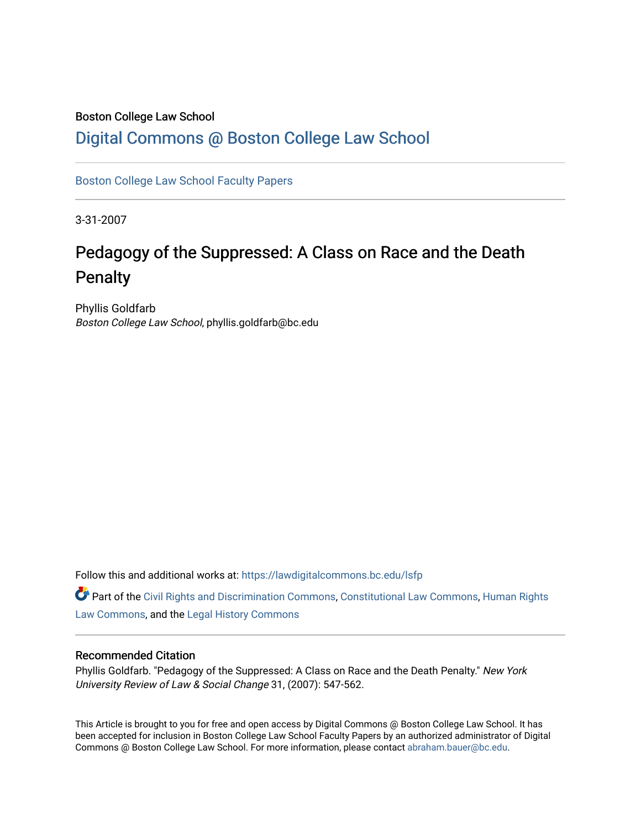## Boston College Law School

# [Digital Commons @ Boston College Law School](https://lawdigitalcommons.bc.edu/)

[Boston College Law School Faculty Papers](https://lawdigitalcommons.bc.edu/lsfp) 

3-31-2007

# Pedagogy of the Suppressed: A Class on Race and the Death Penalty

Phyllis Goldfarb Boston College Law School, phyllis.goldfarb@bc.edu

Follow this and additional works at: [https://lawdigitalcommons.bc.edu/lsfp](https://lawdigitalcommons.bc.edu/lsfp?utm_source=lawdigitalcommons.bc.edu%2Flsfp%2F197&utm_medium=PDF&utm_campaign=PDFCoverPages) 

Part of the [Civil Rights and Discrimination Commons,](http://network.bepress.com/hgg/discipline/585?utm_source=lawdigitalcommons.bc.edu%2Flsfp%2F197&utm_medium=PDF&utm_campaign=PDFCoverPages) [Constitutional Law Commons,](http://network.bepress.com/hgg/discipline/589?utm_source=lawdigitalcommons.bc.edu%2Flsfp%2F197&utm_medium=PDF&utm_campaign=PDFCoverPages) [Human Rights](http://network.bepress.com/hgg/discipline/847?utm_source=lawdigitalcommons.bc.edu%2Flsfp%2F197&utm_medium=PDF&utm_campaign=PDFCoverPages) [Law Commons,](http://network.bepress.com/hgg/discipline/847?utm_source=lawdigitalcommons.bc.edu%2Flsfp%2F197&utm_medium=PDF&utm_campaign=PDFCoverPages) and the [Legal History Commons](http://network.bepress.com/hgg/discipline/904?utm_source=lawdigitalcommons.bc.edu%2Flsfp%2F197&utm_medium=PDF&utm_campaign=PDFCoverPages) 

#### Recommended Citation

Phyllis Goldfarb. "Pedagogy of the Suppressed: A Class on Race and the Death Penalty." New York University Review of Law & Social Change 31, (2007): 547-562.

This Article is brought to you for free and open access by Digital Commons @ Boston College Law School. It has been accepted for inclusion in Boston College Law School Faculty Papers by an authorized administrator of Digital Commons @ Boston College Law School. For more information, please contact [abraham.bauer@bc.edu.](mailto:abraham.bauer@bc.edu)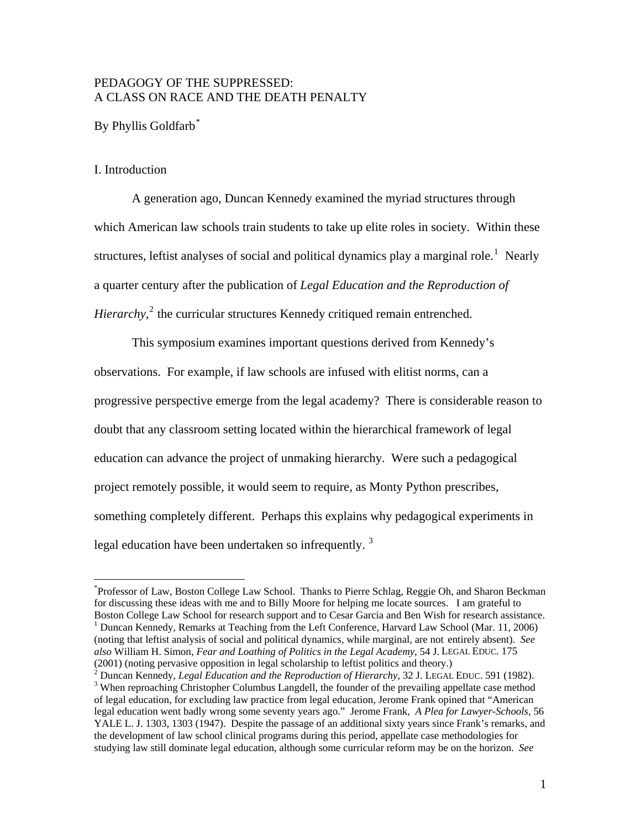# PEDAGOGY OF THE SUPPRESSED: A CLASS ON RACE AND THE DEATH PENALTY

By Phyllis Goldfarb<sup>[\\*](#page-1-0)</sup>

#### I. Introduction

 $\overline{a}$ 

 A generation ago, Duncan Kennedy examined the myriad structures through which American law schools train students to take up elite roles in society. Within these structures, leftist analyses of social and political dynamics play a marginal role.<sup>[1](#page-1-1)</sup> Nearly a quarter century after the publication of *Legal Education and the Reproduction of Hierarchy*,<sup>[2](#page-1-2)</sup> the curricular structures Kennedy critiqued remain entrenched.

 This symposium examines important questions derived from Kennedy's observations. For example, if law schools are infused with elitist norms, can a progressive perspective emerge from the legal academy? There is considerable reason to doubt that any classroom setting located within the hierarchical framework of legal education can advance the project of unmaking hierarchy. Were such a pedagogical project remotely possible, it would seem to require, as Monty Python prescribes, something completely different. Perhaps this explains why pedagogical experiments in legal education have been undertaken so infrequently.<sup>[3](#page-1-3)</sup>

<span id="page-1-0"></span><sup>\*</sup> Professor of Law, Boston College Law School. Thanks to Pierre Schlag, Reggie Oh, and Sharon Beckman for discussing these ideas with me and to Billy Moore for helping me locate sources. I am grateful to Boston College Law School for research support and to Cesar Garcia and Ben Wish for research assistance. 1 <sup>1</sup> Duncan Kennedy, Remarks at Teaching from the Left Conference, Harvard Law School (Mar. 11, 2006)

<span id="page-1-1"></span><sup>(</sup>noting that leftist analysis of social and political dynamics, while marginal, are not entirely absent). *See also* William H. Simon*, Fear and Loathing of Politics in the Legal Academy*, 54 J. LEGAL EDUC. 175  $(2001)$  (noting pervasive opposition in legal scholarship to leftist politics and theory.)<br>
<sup>2</sup> Dungen Kannady, Legal Education and the Bannady of Hierarchy, <sup>22</sup> J. J. EGAL

<span id="page-1-3"></span><span id="page-1-2"></span>Duncan Kennedy, *Legal Education and the Reproduction of Hierarchy*, 32 J. LEGAL EDUC. 591 (1982). 3 <sup>3</sup> When reproaching Christopher Columbus Langdell, the founder of the prevailing appellate case method of legal education, for excluding law practice from legal education, Jerome Frank opined that "American legal education went badly wrong some seventy years ago." Jerome Frank, *A Plea for Lawyer-Schools*, 56 YALE L. J. 1303, 1303 (1947). Despite the passage of an additional sixty years since Frank's remarks, and the development of law school clinical programs during this period, appellate case methodologies for studying law still dominate legal education, although some curricular reform may be on the horizon. *See*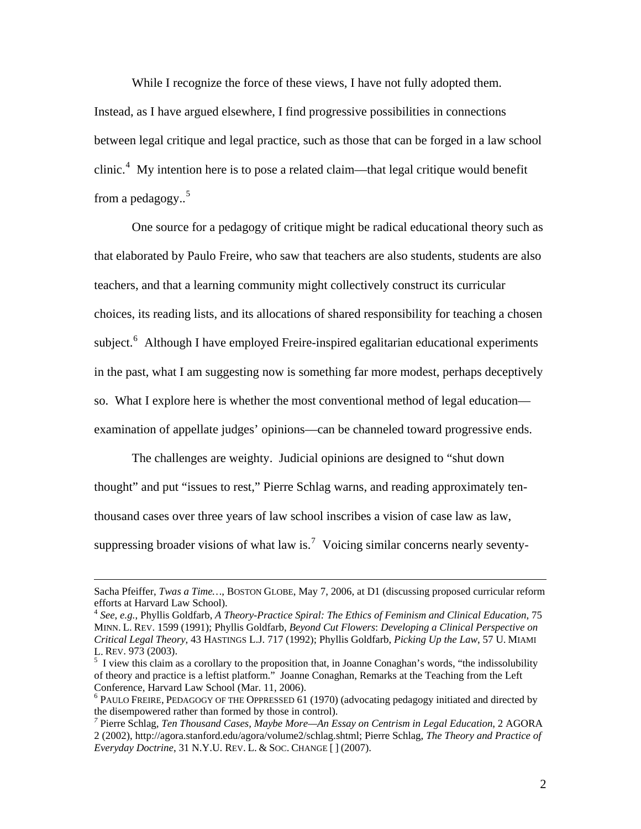While I recognize the force of these views, I have not fully adopted them. Instead, as I have argued elsewhere, I find progressive possibilities in connections between legal critique and legal practice, such as those that can be forged in a law school clinic.<sup>[4](#page-2-0)</sup> My intention here is to pose a related claim—that legal critique would benefit from a pedagogy.. [5](#page-2-1)

 One source for a pedagogy of critique might be radical educational theory such as that elaborated by Paulo Freire, who saw that teachers are also students, students are also teachers, and that a learning community might collectively construct its curricular choices, its reading lists, and its allocations of shared responsibility for teaching a chosen subject.<sup>[6](#page-2-2)</sup> Although I have employed Freire-inspired egalitarian educational experiments in the past, what I am suggesting now is something far more modest, perhaps deceptively so. What I explore here is whether the most conventional method of legal education examination of appellate judges' opinions—can be channeled toward progressive ends.

 The challenges are weighty. Judicial opinions are designed to "shut down thought" and put "issues to rest," Pierre Schlag warns, and reading approximately tenthousand cases over three years of law school inscribes a vision of case law as law, suppressing broader visions of what law is.<sup>[7](#page-2-3)</sup> Voicing similar concerns nearly seventy-

Sacha Pfeiffer, *Twas a Time…*, BOSTON GLOBE, May 7, 2006, at D1 (discussing proposed curricular reform efforts at Harvard Law School).

<span id="page-2-0"></span><sup>4</sup> *See*, *e.g.*, Phyllis Goldfarb, *A Theory-Practice Spiral: The Ethics of Feminism and Clinical Education*, 75 MINN. L. REV. 1599 (1991); Phyllis Goldfarb, *Beyond Cut Flowers*: *Developing a Clinical Perspective on Critical Legal Theory*, 43 HASTINGS L.J. 717 (1992); Phyllis Goldfarb, *Picking Up the Law*, 57 U. MIAMI L. REV. 973 (2003).

<span id="page-2-1"></span> $<sup>5</sup>$  I view this claim as a corollary to the proposition that, in Joanne Conaghan's words, "the indissolubility</sup> of theory and practice is a leftist platform." Joanne Conaghan, Remarks at the Teaching from the Left Conference, Harvard Law School (Mar. 11, 2006).

<span id="page-2-2"></span><sup>&</sup>lt;sup>6</sup> PAULO FREIRE, PEDAGOGY OF THE OPPRESSED 61 (1970) (advocating pedagogy initiated and directed by the disempowered rather than formed by those in control). *<sup>7</sup>* Pierre Schlag*, Ten Thousand Cases, Maybe More—An Essay on Centrism in Legal Education*, 2 AGORA

<span id="page-2-3"></span><sup>2 (2002),</sup> http://agora.stanford.edu/agora/volume2/schlag.shtml; Pierre Schlag, *The Theory and Practice of Everyday Doctrine*, 31 N.Y.U. REV. L. & SOC. CHANGE [ ] (2007).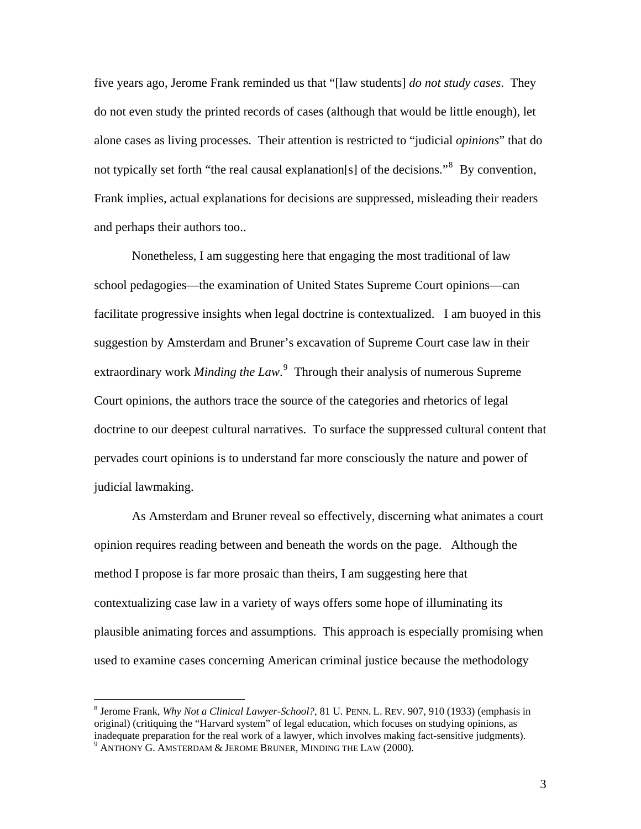five years ago, Jerome Frank reminded us that "[law students] *do not study cases*. They do not even study the printed records of cases (although that would be little enough), let alone cases as living processes. Their attention is restricted to "judicial *opinions*" that do not typically set forth "the real causal explanation[s] of the decisions."<sup>[8](#page-3-0)</sup> By convention, Frank implies, actual explanations for decisions are suppressed, misleading their readers and perhaps their authors too..

 Nonetheless, I am suggesting here that engaging the most traditional of law school pedagogies—the examination of United States Supreme Court opinions—can facilitate progressive insights when legal doctrine is contextualized. I am buoyed in this suggestion by Amsterdam and Bruner's excavation of Supreme Court case law in their extraordinary work *Minding the Law*. [9](#page-3-1) Through their analysis of numerous Supreme Court opinions, the authors trace the source of the categories and rhetorics of legal doctrine to our deepest cultural narratives. To surface the suppressed cultural content that pervades court opinions is to understand far more consciously the nature and power of judicial lawmaking.

As Amsterdam and Bruner reveal so effectively, discerning what animates a court opinion requires reading between and beneath the words on the page. Although the method I propose is far more prosaic than theirs, I am suggesting here that contextualizing case law in a variety of ways offers some hope of illuminating its plausible animating forces and assumptions. This approach is especially promising when used to examine cases concerning American criminal justice because the methodology

<span id="page-3-1"></span><span id="page-3-0"></span><sup>8</sup> Jerome Frank, *Why Not a Clinical Lawyer-School?*, 81 U. PENN. L. REV. 907, 910 (1933) (emphasis in original) (critiquing the "Harvard system" of legal education, which focuses on studying opinions, as inadequate preparation for the real work of a lawyer, which involves making fact-sensitive judgments). 9  $^9$  Anthony G. Amsterdam & Jerome Bruner, Minding the Law (2000).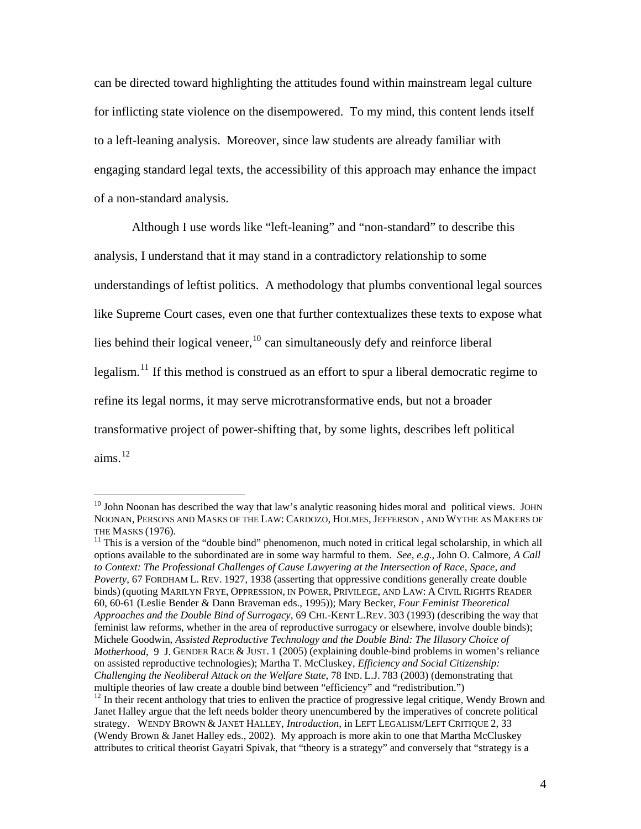can be directed toward highlighting the attitudes found within mainstream legal culture for inflicting state violence on the disempowered. To my mind, this content lends itself to a left-leaning analysis. Moreover, since law students are already familiar with engaging standard legal texts, the accessibility of this approach may enhance the impact of a non-standard analysis.

Although I use words like "left-leaning" and "non-standard" to describe this analysis, I understand that it may stand in a contradictory relationship to some understandings of leftist politics. A methodology that plumbs conventional legal sources like Supreme Court cases, even one that further contextualizes these texts to expose what lies behind their logical veneer,  $^{10}$  $^{10}$  $^{10}$  can simultaneously defy and reinforce liberal legalism.<sup>[11](#page-4-1)</sup> If this method is construed as an effort to spur a liberal democratic regime to refine its legal norms, it may serve microtransformative ends, but not a broader transformative project of power-shifting that, by some lights, describes left political aims. $^{12}$  $^{12}$  $^{12}$ 

<span id="page-4-0"></span> $10$  John Noonan has described the way that law's analytic reasoning hides moral and political views. JOHN NOONAN, PERSONS AND MASKS OF THE LAW: CARDOZO, HOLMES, JEFFERSON , AND WYTHE AS MAKERS OF THE MASKS (1976).<br><sup>11</sup> This is a version of the "double bind" phenomenon, much noted in critical legal scholarship, in which all

<span id="page-4-2"></span><span id="page-4-1"></span>options available to the subordinated are in some way harmful to them. *See, e.g.*, John O. Calmore, *A Call to Context: The Professional Challenges of Cause Lawyering at the Intersection of Race, Space, and Poverty*, 67 FORDHAM L. REV. 1927, 1938 (asserting that oppressive conditions generally create double binds) (quoting MARILYN FRYE, OPPRESSION, IN POWER, PRIVILEGE, AND LAW: A CIVIL RIGHTS READER 60, 60-61 (Leslie Bender & Dann Braveman eds., 1995)); Mary Becker, *Four Feminist Theoretical Approaches and the Double Bind of Surrogacy*, 69 CHI.-KENT L.REV. 303 (1993) (describing the way that feminist law reforms, whether in the area of reproductive surrogacy or elsewhere, involve double binds); Michele Goodwin, *Assisted Reproductive Technology and the Double Bind: The Illusory Choice of Motherhood*, 9 J. GENDER RACE & JUST. 1 (2005) (explaining double-bind problems in women's reliance on assisted reproductive technologies); Martha T. McCluskey, *Efficiency and Social Citizenship: Challenging the Neoliberal Attack on the Welfare State*, 78 IND. L.J. 783 (2003) (demonstrating that multiple theories of law create a double bind between "efficiency" and "redistribution.")  $\frac{12}{12}$  In their recent anthology that tries to enliven the practice of progressive legal critique, Wendy Brown and Janet Halley argue that the left needs bolder theory unencumbered by the imperatives of concrete political strategy. WENDY BROWN & JANET HALLEY, *Introduction*, in LEFT LEGALISM/LEFT CRITIQUE 2, 33 (Wendy Brown & Janet Halley eds., 2002). My approach is more akin to one that Martha McCluskey attributes to critical theorist Gayatri Spivak, that "theory is a strategy" and conversely that "strategy is a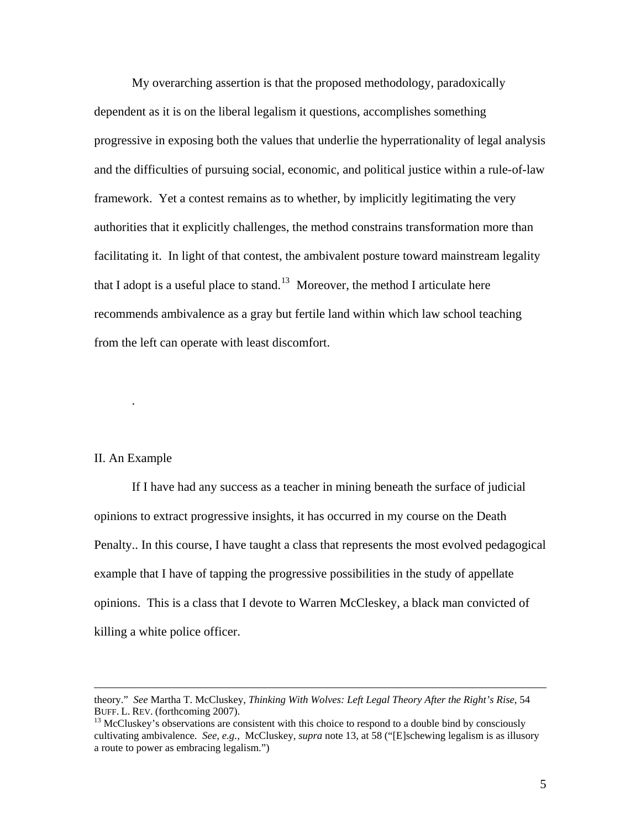My overarching assertion is that the proposed methodology, paradoxically dependent as it is on the liberal legalism it questions, accomplishes something progressive in exposing both the values that underlie the hyperrationality of legal analysis and the difficulties of pursuing social, economic, and political justice within a rule-of-law framework. Yet a contest remains as to whether, by implicitly legitimating the very authorities that it explicitly challenges, the method constrains transformation more than facilitating it. In light of that contest, the ambivalent posture toward mainstream legality that I adopt is a useful place to stand.<sup>[13](#page-5-0)</sup> Moreover, the method I articulate here recommends ambivalence as a gray but fertile land within which law school teaching from the left can operate with least discomfort.

#### II. An Example

.

If I have had any success as a teacher in mining beneath the surface of judicial opinions to extract progressive insights, it has occurred in my course on the Death Penalty.. In this course, I have taught a class that represents the most evolved pedagogical example that I have of tapping the progressive possibilities in the study of appellate opinions. This is a class that I devote to Warren McCleskey, a black man convicted of killing a white police officer.

theory." *See* Martha T. McCluskey, *Thinking With Wolves: Left Legal Theory After the Right's Rise*, 54 BUFF. L. REV. (forthcoming 2007).<br><sup>13</sup> McCluskey's observations are consistent with this choice to respond to a double bind by consciously

<span id="page-5-0"></span>cultivating ambivalence. *See, e.g.,* McCluskey, *supra* note 13, at 58 ("[E]schewing legalism is as illusory a route to power as embracing legalism.")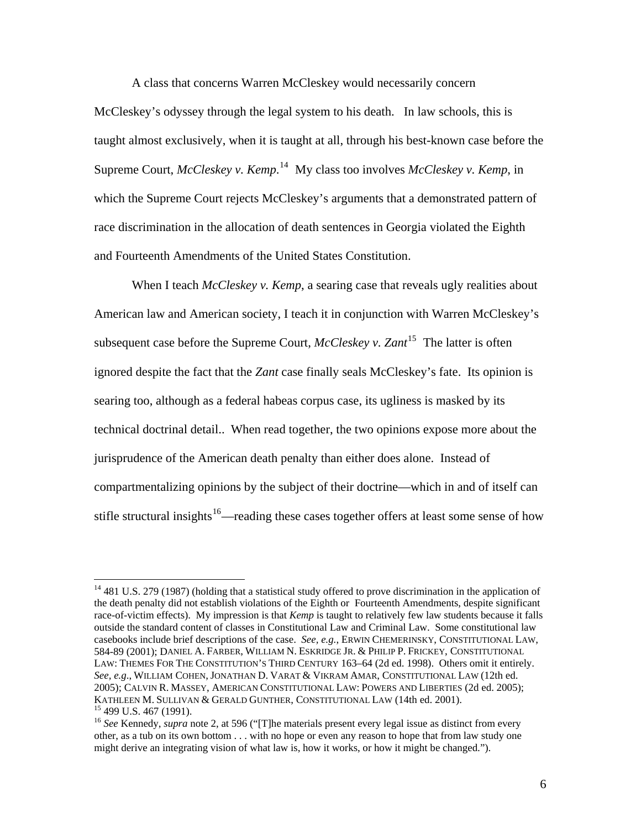A class that concerns Warren McCleskey would necessarily concern

McCleskey's odyssey through the legal system to his death. In law schools, this is taught almost exclusively, when it is taught at all, through his best-known case before the Supreme Court, *McCleskey v. Kemp*. [14](#page-6-0) My class too involves *McCleskey v. Kemp*, in which the Supreme Court rejects McCleskey's arguments that a demonstrated pattern of race discrimination in the allocation of death sentences in Georgia violated the Eighth and Fourteenth Amendments of the United States Constitution.

When I teach *McCleskey v. Kemp*, a searing case that reveals ugly realities about American law and American society, I teach it in conjunction with Warren McCleskey's subsequent case before the Supreme Court,  $McCleskey v$ . Zant<sup>[15](#page-6-1)</sup> The latter is often ignored despite the fact that the *Zant* case finally seals McCleskey's fate. Its opinion is searing too, although as a federal habeas corpus case, its ugliness is masked by its technical doctrinal detail.. When read together, the two opinions expose more about the jurisprudence of the American death penalty than either does alone. Instead of compartmentalizing opinions by the subject of their doctrine—which in and of itself can stifle structural insights<sup>[16](#page-6-2)</sup>—reading these cases together offers at least some sense of how

<span id="page-6-0"></span><sup>&</sup>lt;sup>14</sup> 481 U.S. 279 (1987) (holding that a statistical study offered to prove discrimination in the application of the death penalty did not establish violations of the Eighth or Fourteenth Amendments, despite significant race-of-victim effects). My impression is that *Kemp* is taught to relatively few law students because it falls outside the standard content of classes in Constitutional Law and Criminal Law. Some constitutional law casebooks include brief descriptions of the case. *See, e.g.*, ERWIN CHEMERINSKY, CONSTITUTIONAL LAW, 584-89 (2001); DANIEL A. FARBER, WILLIAM N. ESKRIDGE JR. & PHILIP P. FRICKEY, CONSTITUTIONAL LAW: THEMES FOR THE CONSTITUTION'S THIRD CENTURY 163–64 (2d ed. 1998). Others omit it entirely. *See, e.g*., WILLIAM COHEN, JONATHAN D. VARAT & VIKRAM AMAR, CONSTITUTIONAL LAW (12th ed. 2005); CALVIN R. MASSEY, AMERICAN CONSTITUTIONAL LAW: POWERS AND LIBERTIES (2d ed. 2005); KATHLEEN M. SULLIVAN & GERALD GUNTHER, CONSTITUTIONAL LAW (14th ed. 2001).<br><sup>15</sup> 499 U.S. 467 (1991).

<span id="page-6-2"></span><span id="page-6-1"></span><sup>&</sup>lt;sup>16</sup> See Kennedy, *supra* note 2, at 596 ("[T]he materials present every legal issue as distinct from every other, as a tub on its own bottom . . . with no hope or even any reason to hope that from law study one might derive an integrating vision of what law is, how it works, or how it might be changed.").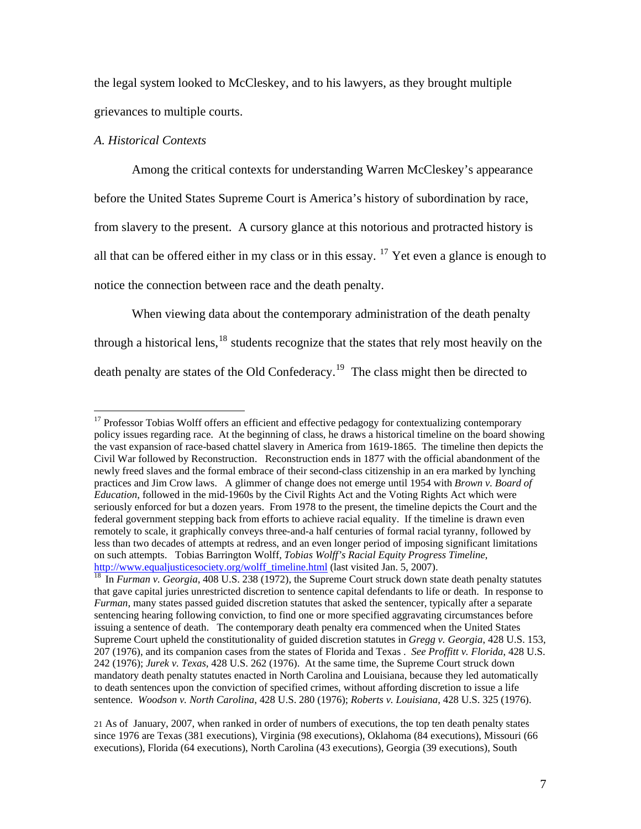the legal system looked to McCleskey, and to his lawyers, as they brought multiple grievances to multiple courts.

# *A. Historical Contexts*

 $\overline{a}$ 

Among the critical contexts for understanding Warren McCleskey's appearance before the United States Supreme Court is America's history of subordination by race, from slavery to the present. A cursory glance at this notorious and protracted history is all that can be offered either in my class or in this essay.  $17$  Yet even a glance is enough to notice the connection between race and the death penalty.

When viewing data about the contemporary administration of the death penalty through a historical lens, $18$  students recognize that the states that rely most heavily on the death penalty are states of the Old Confederacy.<sup>[19](#page-7-2)</sup> The class might then be directed to

<span id="page-7-0"></span><sup>&</sup>lt;sup>17</sup> Professor Tobias Wolff offers an efficient and effective pedagogy for contextualizing contemporary policy issues regarding race. At the beginning of class, he draws a historical timeline on the board showing the vast expansion of race-based chattel slavery in America from 1619-1865. The timeline then depicts the Civil War followed by Reconstruction. Reconstruction ends in 1877 with the official abandonment of the newly freed slaves and the formal embrace of their second-class citizenship in an era marked by lynching practices and Jim Crow laws. A glimmer of change does not emerge until 1954 with *Brown v. Board of Education*, followed in the mid-1960s by the Civil Rights Act and the Voting Rights Act which were seriously enforced for but a dozen years. From 1978 to the present, the timeline depicts the Court and the federal government stepping back from efforts to achieve racial equality. If the timeline is drawn even remotely to scale, it graphically conveys three-and-a half centuries of formal racial tyranny, followed by less than two decades of attempts at redress, and an even longer period of imposing significant limitations on such attempts. Tobias Barrington Wolff, *Tobias Wolff's Racial Equity Progress Timeline*, [http://www.equaljusticesociety.org/wolff\\_timeline.html](http://www.equaljusticesociety.org/wolff_timeline.html) (last visited Jan. 5, 2007).<br><sup>[18](http://www.equaljusticesociety.org/wolff_timeline.html)</sup> In *Furman v. Georgia*, 408 U.S. 238 (1972), the Supreme Court struck down state death penalty statutes

<span id="page-7-1"></span>that gave capital juries unrestricted discretion to sentence capital defendants to life or death. In response to *Furman*, many states passed guided discretion statutes that asked the sentencer, typically after a separate sentencing hearing following conviction, to find one or more specified aggravating circumstances before issuing a sentence of death. The contemporary death penalty era commenced when the United States Supreme Court upheld the constitutionality of guided discretion statutes in *Gregg v. Georgia*, 428 U.S. 153, 207 (1976), and its companion cases from the states of Florida and Texas . *See Proffitt v. Florida*, 428 U.S. 242 (1976); *Jurek v. Texas*, 428 U.S. 262 (1976). At the same time, the Supreme Court struck down mandatory death penalty statutes enacted in North Carolina and Louisiana, because they led automatically to death sentences upon the conviction of specified crimes, without affording discretion to issue a life sentence. *Woodson v. North Carolina*, 428 U.S. 280 (1976); *Roberts v. Louisiana*, 428 U.S. 325 (1976).

<span id="page-7-2"></span><sup>21</sup> As of January, 2007, when ranked in order of numbers of executions, the top ten death penalty states since 1976 are Texas (381 executions), Virginia (98 executions), Oklahoma (84 executions), Missouri (66 executions), Florida (64 executions), North Carolina (43 executions), Georgia (39 executions), South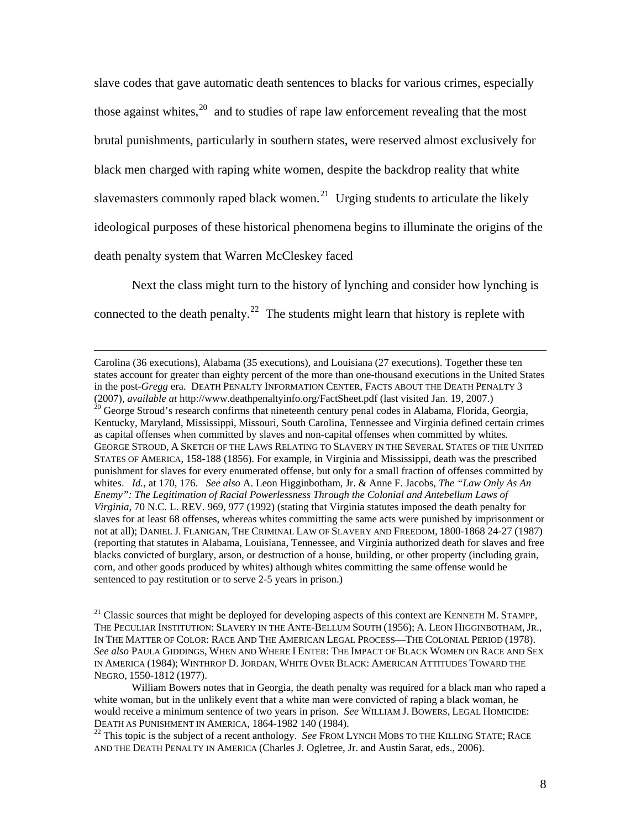slave codes that gave automatic death sentences to blacks for various crimes, especially those against whites, $20$  and to studies of rape law enforcement revealing that the most brutal punishments, particularly in southern states, were reserved almost exclusively for black men charged with raping white women, despite the backdrop reality that white slavemasters commonly raped black women.<sup>[21](#page-8-1)</sup> Urging students to articulate the likely ideological purposes of these historical phenomena begins to illuminate the origins of the death penalty system that Warren McCleskey faced

Next the class might turn to the history of lynching and consider how lynching is connected to the death penalty.<sup>[22](#page-8-2)</sup> The students might learn that history is replete with

<span id="page-8-0"></span> Carolina (36 executions), Alabama (35 executions), and Louisiana (27 executions). Together these ten states account for greater than eighty percent of the more than one-thousand executions in the United States in the post-*Gregg* era. DEATH PENALTY INFORMATION CENTER, FACTS ABOUT THE DEATH PENALTY 3 (2007), *available at* http://www.deathpenaltyinfo.org/FactSheet.pdf (last visited Jan. 19, 2007.)<br><sup>20</sup> George Stroud's research confirms that nineteenth century penal codes in Alabama, Florida, Georgia, Kentucky, Maryland, Mississippi, Missouri, South Carolina, Tennessee and Virginia defined certain crimes as capital offenses when committed by slaves and non-capital offenses when committed by whites. GEORGE STROUD, A SKETCH OF THE LAWS RELATING TO SLAVERY IN THE SEVERAL STATES OF THE UNITED STATES OF AMERICA, 158-188 (1856). For example, in Virginia and Mississippi, death was the prescribed punishment for slaves for every enumerated offense, but only for a small fraction of offenses committed by whites. *Id.*, at 170, 176. *See also* A. Leon Higginbotham, Jr. & Anne F. Jacobs, *The "Law Only As An Enemy": The Legitimation of Racial Powerlessness Through the Colonial and Antebellum Laws of Virginia*, 70 N.C. L. REV. 969, 977 (1992) (stating that Virginia statutes imposed the death penalty for slaves for at least 68 offenses, whereas whites committing the same acts were punished by imprisonment or not at all); DANIEL J. FLANIGAN, THE CRIMINAL LAW OF SLAVERY AND FREEDOM, 1800-1868 24-27 (1987) (reporting that statutes in Alabama, Louisiana, Tennessee, and Virginia authorized death for slaves and free blacks convicted of burglary, arson, or destruction of a house, building, or other property (including grain, corn, and other goods produced by whites) although whites committing the same offense would be sentenced to pay restitution or to serve 2-5 years in prison.)

<span id="page-8-1"></span><sup>21</sup> Classic sources that might be deployed for developing aspects of this context are KENNETH M. STAMPP, THE PECULIAR INSTITUTION: SLAVERY IN THE ANTE-BELLUM SOUTH (1956); A. LEON HIGGINBOTHAM, JR., IN THE MATTER OF COLOR: RACE AND THE AMERICAN LEGAL PROCESS—THE COLONIAL PERIOD (1978). *See also* PAULA GIDDINGS, WHEN AND WHERE I ENTER: THE IMPACT OF BLACK WOMEN ON RACE AND SEX IN AMERICA (1984); WINTHROP D. JORDAN, WHITE OVER BLACK: AMERICAN ATTITUDES TOWARD THE NEGRO, 1550-1812 (1977).

William Bowers notes that in Georgia, the death penalty was required for a black man who raped a white woman, but in the unlikely event that a white man were convicted of raping a black woman, he would receive a minimum sentence of two years in prison. *See* WILLIAM J. BOWERS, LEGAL HOMICIDE: DEATH AS PUNISHMENT IN AMERICA, 1864-1982 140 (1984).<br><sup>22</sup> This topic is the subject of a recent anthology. *See* FROM LYNCH MOBS TO THE KILLING STATE; RACE

<span id="page-8-2"></span>AND THE DEATH PENALTY IN AMERICA (Charles J. Ogletree, Jr. and Austin Sarat, eds., 2006).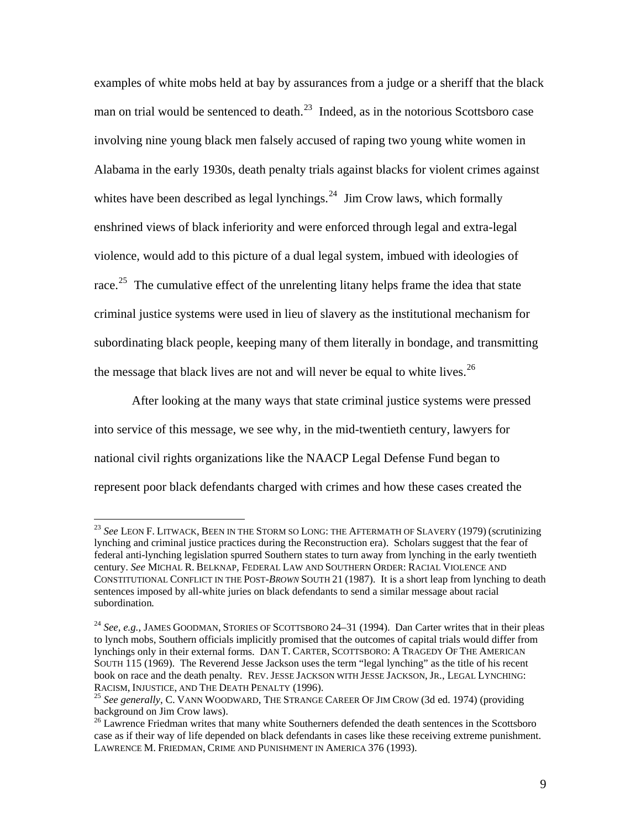examples of white mobs held at bay by assurances from a judge or a sheriff that the black man on trial would be sentenced to death.<sup>[23](#page-9-0)</sup> Indeed, as in the notorious Scottsboro case involving nine young black men falsely accused of raping two young white women in Alabama in the early 1930s, death penalty trials against blacks for violent crimes against whites have been described as legal lynchings.<sup>[24](#page-9-1)</sup> Jim Crow laws, which formally enshrined views of black inferiority and were enforced through legal and extra-legal violence, would add to this picture of a dual legal system, imbued with ideologies of race.<sup>[25](#page-9-2)</sup> The cumulative effect of the unrelenting litany helps frame the idea that state criminal justice systems were used in lieu of slavery as the institutional mechanism for subordinating black people, keeping many of them literally in bondage, and transmitting the message that black lives are not and will never be equal to white lives.<sup>[26](#page-9-3)</sup>

 After looking at the many ways that state criminal justice systems were pressed into service of this message, we see why, in the mid-twentieth century, lawyers for national civil rights organizations like the NAACP Legal Defense Fund began to represent poor black defendants charged with crimes and how these cases created the

<span id="page-9-0"></span><sup>23</sup> *See* LEON F. LITWACK, BEEN IN THE STORM SO LONG: THE AFTERMATH OF SLAVERY (1979) (scrutinizing lynching and criminal justice practices during the Reconstruction era). Scholars suggest that the fear of federal anti-lynching legislation spurred Southern states to turn away from lynching in the early twentieth century. *See* MICHAL R. BELKNAP, FEDERAL LAW AND SOUTHERN ORDER: RACIAL VIOLENCE AND CONSTITUTIONAL CONFLICT IN THE POST-*BROWN* SOUTH 21 (1987). It is a short leap from lynching to death sentences imposed by all-white juries on black defendants to send a similar message about racial subordination*.* 

<span id="page-9-1"></span><sup>24</sup> *See*, *e.g.*, JAMES GOODMAN, STORIES OF SCOTTSBORO 24–31 (1994). Dan Carter writes that in their pleas to lynch mobs, Southern officials implicitly promised that the outcomes of capital trials would differ from lynchings only in their external forms. DAN T. CARTER, SCOTTSBORO: A TRAGEDY OF THE AMERICAN SOUTH 115 (1969). The Reverend Jesse Jackson uses the term "legal lynching" as the title of his recent book on race and the death penalty*.* REV. JESSE JACKSON WITH JESSE JACKSON, JR., LEGAL LYNCHING: RACISM, INJUSTICE, AND THE DEATH PENALTY (1996). 25 *See generally*, C. VANN WOODWARD, THE STRANGE CAREER OF JIM CROW (3d ed. 1974) (providing

<span id="page-9-2"></span>background on Jim Crow laws).

<span id="page-9-3"></span><sup>&</sup>lt;sup>26</sup> Lawrence Friedman writes that many white Southerners defended the death sentences in the Scottsboro case as if their way of life depended on black defendants in cases like these receiving extreme punishment. LAWRENCE M. FRIEDMAN, CRIME AND PUNISHMENT IN AMERICA 376 (1993).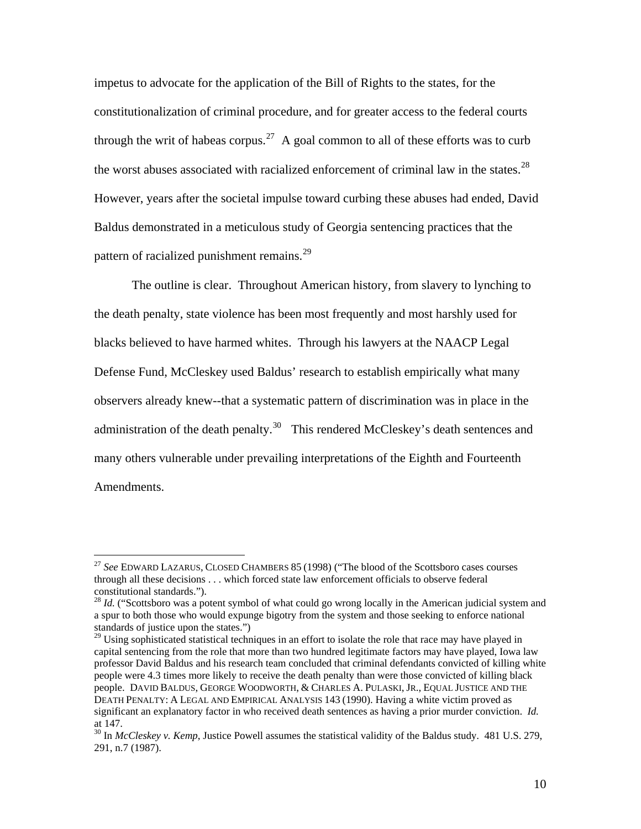impetus to advocate for the application of the Bill of Rights to the states, for the constitutionalization of criminal procedure, and for greater access to the federal courts through the writ of habeas corpus.<sup>[27](#page-10-0)</sup> A goal common to all of these efforts was to curb the worst abuses associated with racialized enforcement of criminal law in the states.<sup>[28](#page-10-1)</sup> However, years after the societal impulse toward curbing these abuses had ended, David Baldus demonstrated in a meticulous study of Georgia sentencing practices that the pattern of racialized punishment remains.<sup>[29](#page-10-2)</sup>

The outline is clear. Throughout American history, from slavery to lynching to the death penalty, state violence has been most frequently and most harshly used for blacks believed to have harmed whites. Through his lawyers at the NAACP Legal Defense Fund, McCleskey used Baldus' research to establish empirically what many observers already knew--that a systematic pattern of discrimination was in place in the administration of the death penalty.<sup>[30](#page-10-3)</sup> This rendered McCleskey's death sentences and many others vulnerable under prevailing interpretations of the Eighth and Fourteenth Amendments.

<span id="page-10-0"></span><sup>27</sup> *See* EDWARD LAZARUS, CLOSED CHAMBERS 85 (1998) ("The blood of the Scottsboro cases courses through all these decisions . . . which forced state law enforcement officials to observe federal constitutional standards.").

<span id="page-10-1"></span><sup>&</sup>lt;sup>28</sup> *Id.* ("Scottsboro was a potent symbol of what could go wrong locally in the American judicial system and a spur to both those who would expunge bigotry from the system and those seeking to enforce national standards of justice upon the states.")

<span id="page-10-2"></span> $29$  Using sophisticated statistical techniques in an effort to isolate the role that race may have played in capital sentencing from the role that more than two hundred legitimate factors may have played, Iowa law professor David Baldus and his research team concluded that criminal defendants convicted of killing white people were 4.3 times more likely to receive the death penalty than were those convicted of killing black people. DAVID BALDUS, GEORGE WOODWORTH, & CHARLES A. PULASKI, JR., EQUAL JUSTICE AND THE DEATH PENALTY: A LEGAL AND EMPIRICAL ANALYSIS 143 (1990). Having a white victim proved as significant an explanatory factor in who received death sentences as having a prior murder conviction. *Id.* at 147.

<span id="page-10-3"></span><sup>&</sup>lt;sup>30</sup> In *McCleskey v. Kemp*, Justice Powell assumes the statistical validity of the Baldus study. 481 U.S. 279, 291, n.7 (1987).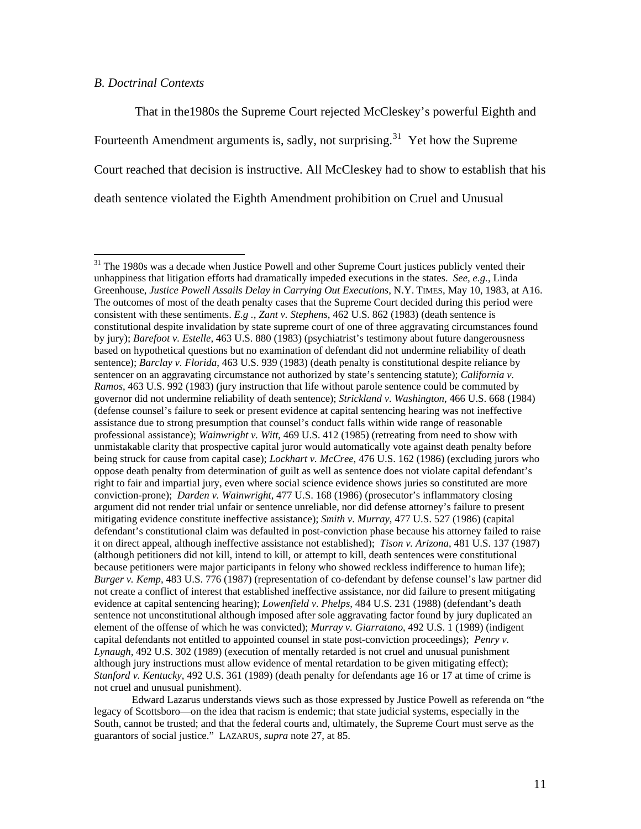# *B. Doctrinal Contexts*

 $\overline{a}$ 

 That in the1980s the Supreme Court rejected McCleskey's powerful Eighth and Fourteenth Amendment arguments is, sadly, not surprising.<sup>[31](#page-11-0)</sup> Yet how the Supreme Court reached that decision is instructive. All McCleskey had to show to establish that his death sentence violated the Eighth Amendment prohibition on Cruel and Unusual

<span id="page-11-0"></span><sup>&</sup>lt;sup>31</sup> The 1980s was a decade when Justice Powell and other Supreme Court justices publicly vented their unhappiness that litigation efforts had dramatically impeded executions in the states. *See, e.g.*, Linda Greenhouse, *Justice Powell Assails Delay in Carrying Out Executions*, N.Y. TIMES, May 10, 1983, at A16. The outcomes of most of the death penalty cases that the Supreme Court decided during this period were consistent with these sentiments. *E.g ., Zant v. Stephens*, 462 U.S. 862 (1983) (death sentence is constitutional despite invalidation by state supreme court of one of three aggravating circumstances found by jury); *Barefoot v. Estelle*, 463 U.S. 880 (1983) (psychiatrist's testimony about future dangerousness based on hypothetical questions but no examination of defendant did not undermine reliability of death sentence); *Barclay v. Florida*, 463 U.S. 939 (1983) (death penalty is constitutional despite reliance by sentencer on an aggravating circumstance not authorized by state's sentencing statute); *California v. Ramos*, 463 U.S. 992 (1983) (jury instruction that life without parole sentence could be commuted by governor did not undermine reliability of death sentence); *Strickland v. Washington*, 466 U.S. 668 (1984) (defense counsel's failure to seek or present evidence at capital sentencing hearing was not ineffective assistance due to strong presumption that counsel's conduct falls within wide range of reasonable professional assistance); *Wainwright v. Witt*, 469 U.S. 412 (1985) (retreating from need to show with unmistakable clarity that prospective capital juror would automatically vote against death penalty before being struck for cause from capital case); *Lockhart v. McCree*, 476 U.S. 162 (1986) (excluding jurors who oppose death penalty from determination of guilt as well as sentence does not violate capital defendant's right to fair and impartial jury, even where social science evidence shows juries so constituted are more conviction-prone); *Darden v. Wainwright*, 477 U.S. 168 (1986) (prosecutor's inflammatory closing argument did not render trial unfair or sentence unreliable, nor did defense attorney's failure to present mitigating evidence constitute ineffective assistance); *Smith v. Murray*, 477 U.S. 527 (1986) (capital defendant's constitutional claim was defaulted in post-conviction phase because his attorney failed to raise it on direct appeal, although ineffective assistance not established); *Tison v. Arizona*, 481 U.S. 137 (1987) (although petitioners did not kill, intend to kill, or attempt to kill, death sentences were constitutional because petitioners were major participants in felony who showed reckless indifference to human life); *Burger v. Kemp*, 483 U.S. 776 (1987) (representation of co-defendant by defense counsel's law partner did not create a conflict of interest that established ineffective assistance, nor did failure to present mitigating evidence at capital sentencing hearing); *Lowenfield v. Phelps*, 484 U.S. 231 (1988) (defendant's death sentence not unconstitutional although imposed after sole aggravating factor found by jury duplicated an element of the offense of which he was convicted); *Murray v. Giarratano*, 492 U.S. 1 (1989) (indigent capital defendants not entitled to appointed counsel in state post-conviction proceedings); *Penry v. Lynaugh*, 492 U.S. 302 (1989) (execution of mentally retarded is not cruel and unusual punishment although jury instructions must allow evidence of mental retardation to be given mitigating effect); *Stanford v. Kentucky*, 492 U.S. 361 (1989) (death penalty for defendants age 16 or 17 at time of crime is not cruel and unusual punishment).

Edward Lazarus understands views such as those expressed by Justice Powell as referenda on "the legacy of Scottsboro—on the idea that racism is endemic; that state judicial systems, especially in the South, cannot be trusted; and that the federal courts and, ultimately, the Supreme Court must serve as the guarantors of social justice." LAZARUS, *supra* note 27, at 85.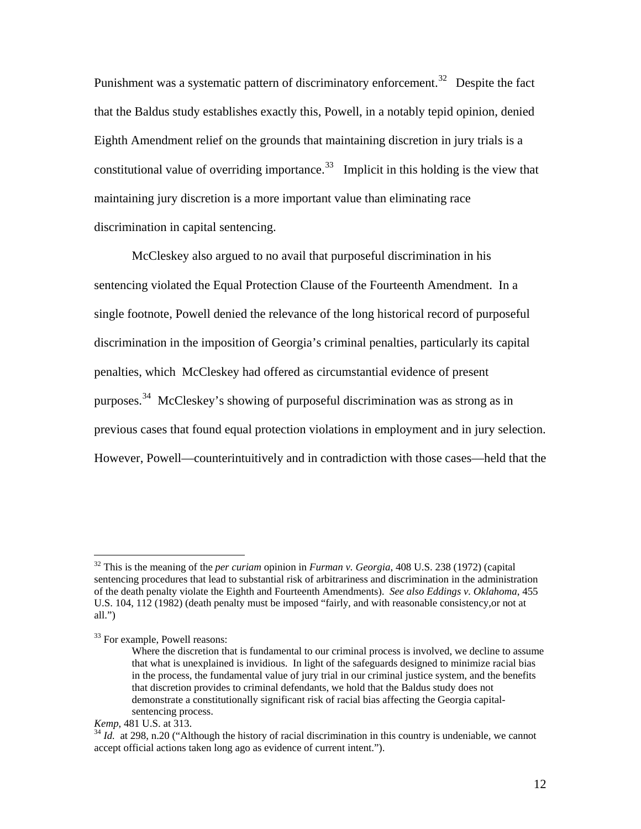Punishment was a systematic pattern of discriminatory enforcement.<sup>[32](#page-12-0)</sup> Despite the fact that the Baldus study establishes exactly this, Powell, in a notably tepid opinion, denied Eighth Amendment relief on the grounds that maintaining discretion in jury trials is a constitutional value of overriding importance.<sup>[33](#page-12-1)</sup> Implicit in this holding is the view that maintaining jury discretion is a more important value than eliminating race discrimination in capital sentencing.

 McCleskey also argued to no avail that purposeful discrimination in his sentencing violated the Equal Protection Clause of the Fourteenth Amendment. In a single footnote, Powell denied the relevance of the long historical record of purposeful discrimination in the imposition of Georgia's criminal penalties, particularly its capital penalties, which McCleskey had offered as circumstantial evidence of present purposes.<sup>[34](#page-12-2)</sup> McCleskey's showing of purposeful discrimination was as strong as in previous cases that found equal protection violations in employment and in jury selection. However, Powell—counterintuitively and in contradiction with those cases—held that the

<span id="page-12-0"></span><sup>32</sup> This is the meaning of the *per curiam* opinion in *Furman v. Georgia*, 408 U.S. 238 (1972) (capital sentencing procedures that lead to substantial risk of arbitrariness and discrimination in the administration of the death penalty violate the Eighth and Fourteenth Amendments). *See also Eddings v. Oklahoma*, 455 U.S. 104, 112 (1982) (death penalty must be imposed "fairly, and with reasonable consistency,or not at all.")

<span id="page-12-1"></span><sup>&</sup>lt;sup>33</sup> For example, Powell reasons:

Where the discretion that is fundamental to our criminal process is involved, we decline to assume that what is unexplained is invidious. In light of the safeguards designed to minimize racial bias in the process, the fundamental value of jury trial in our criminal justice system, and the benefits that discretion provides to criminal defendants, we hold that the Baldus study does not demonstrate a constitutionally significant risk of racial bias affecting the Georgia capitalsentencing process.

<span id="page-12-2"></span>*Kemp*, 481 U.S. at 313.<br><sup>34</sup> *Id.* at 298, n.20 ("Although the history of racial discrimination in this country is undeniable, we cannot accept official actions taken long ago as evidence of current intent.").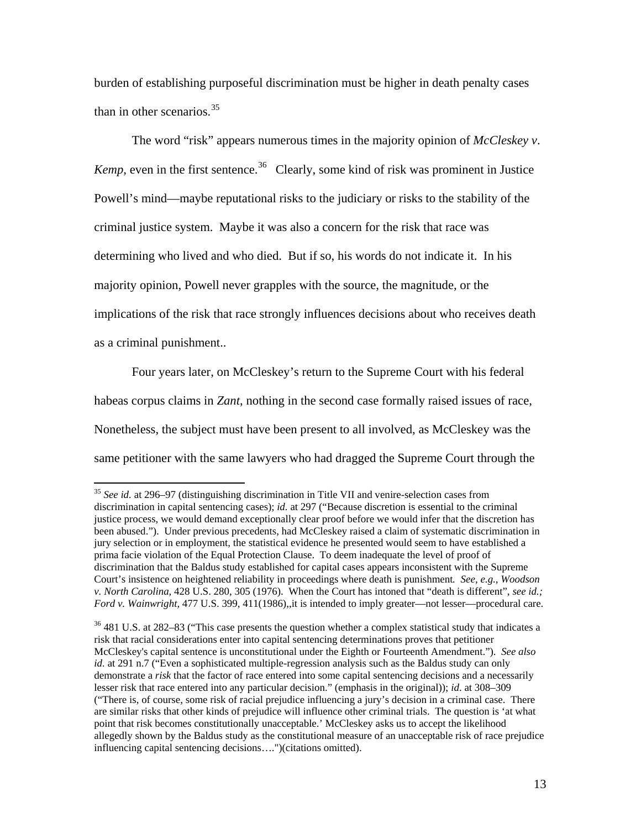burden of establishing purposeful discrimination must be higher in death penalty cases than in other scenarios. $35$ 

The word "risk" appears numerous times in the majority opinion of *McCleskey v*. *Kemp*, even in the first sentence.<sup>[36](#page-13-1)</sup> Clearly, some kind of risk was prominent in Justice Powell's mind—maybe reputational risks to the judiciary or risks to the stability of the criminal justice system. Maybe it was also a concern for the risk that race was determining who lived and who died. But if so, his words do not indicate it. In his majority opinion, Powell never grapples with the source, the magnitude, or the implications of the risk that race strongly influences decisions about who receives death as a criminal punishment..

 Four years later, on McCleskey's return to the Supreme Court with his federal habeas corpus claims in *Zant*, nothing in the second case formally raised issues of race, Nonetheless, the subject must have been present to all involved, as McCleskey was the same petitioner with the same lawyers who had dragged the Supreme Court through the

<span id="page-13-0"></span><sup>35</sup> *See id.* at 296–97 (distinguishing discrimination in Title VII and venire-selection cases from discrimination in capital sentencing cases); *id.* at 297 ("Because discretion is essential to the criminal justice process, we would demand exceptionally clear proof before we would infer that the discretion has been abused."). Under previous precedents, had McCleskey raised a claim of systematic discrimination in jury selection or in employment, the statistical evidence he presented would seem to have established a prima facie violation of the Equal Protection Clause. To deem inadequate the level of proof of discrimination that the Baldus study established for capital cases appears inconsistent with the Supreme Court's insistence on heightened reliability in proceedings where death is punishment*. See, e.g.*, *Woodson v. North Carolina*, 428 U.S. 280, 305 (1976). When the Court has intoned that "death is different", *see id.; Ford v. Wainwright,* 477 U.S. 399, 411(1986), it is intended to imply greater—not lesser—procedural care.

<span id="page-13-1"></span> $36\overline{481}$  U.S. at 282–83 ("This case presents the question whether a complex statistical study that indicates a risk that racial considerations enter into capital sentencing determinations proves that petitioner McCleskey's capital sentence is unconstitutional under the Eighth or Fourteenth Amendment."). *See also id.* at 291 n.7 ("Even a sophisticated multiple-regression analysis such as the Baldus study can only demonstrate a *risk* that the factor of race entered into some capital sentencing decisions and a necessarily lesser risk that race entered into any particular decision." (emphasis in the original)); *id*. at 308–309 ("There is, of course, some risk of racial prejudice influencing a jury's decision in a criminal case. There are similar risks that other kinds of prejudice will influence other criminal trials. The question is 'at what point that risk becomes constitutionally unacceptable.' McCleskey asks us to accept the likelihood allegedly shown by the Baldus study as the constitutional measure of an unacceptable risk of race prejudice influencing capital sentencing decisions….")(citations omitted).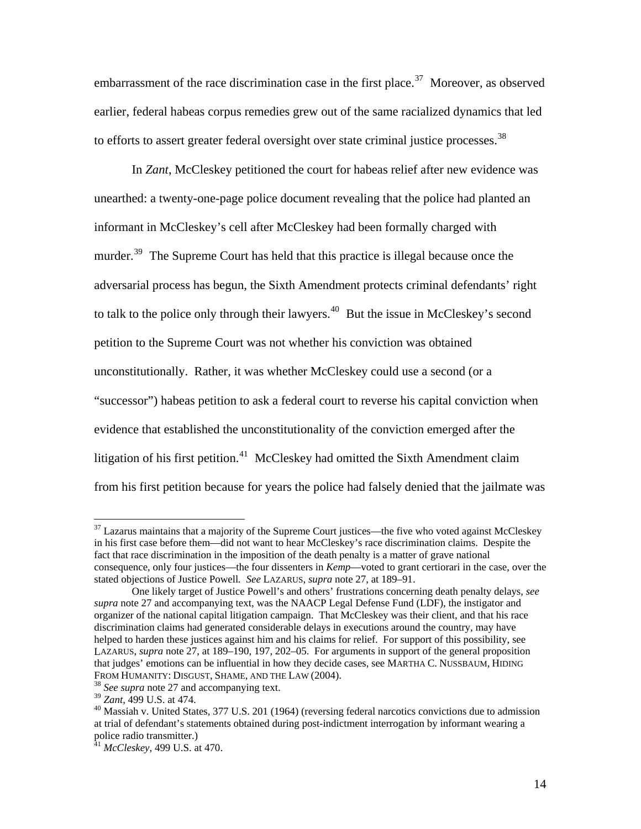embarrassment of the race discrimination case in the first place.<sup>[37](#page-14-0)</sup> Moreover, as observed earlier, federal habeas corpus remedies grew out of the same racialized dynamics that led to efforts to assert greater federal oversight over state criminal justice processes.<sup>[38](#page-14-1)</sup>

 In *Zant*, McCleskey petitioned the court for habeas relief after new evidence was unearthed: a twenty-one-page police document revealing that the police had planted an informant in McCleskey's cell after McCleskey had been formally charged with murder.<sup>[39](#page-14-2)</sup> The Supreme Court has held that this practice is illegal because once the adversarial process has begun, the Sixth Amendment protects criminal defendants' right to talk to the police only through their lawyers.<sup>[40](#page-14-3)</sup> But the issue in McCleskey's second petition to the Supreme Court was not whether his conviction was obtained unconstitutionally. Rather, it was whether McCleskey could use a second (or a "successor") habeas petition to ask a federal court to reverse his capital conviction when evidence that established the unconstitutionality of the conviction emerged after the litigation of his first petition.<sup>[41](#page-14-4)</sup> McCleskey had omitted the Sixth Amendment claim from his first petition because for years the police had falsely denied that the jailmate was

<span id="page-14-0"></span> $37$  Lazarus maintains that a majority of the Supreme Court justices—the five who voted against McCleskey in his first case before them—did not want to hear McCleskey's race discrimination claims. Despite the fact that race discrimination in the imposition of the death penalty is a matter of grave national consequence, only four justices—the four dissenters in *Kemp*—voted to grant certiorari in the case, over the stated objections of Justice Powell*. See* LAZARUS, *supra* note 27, at 189–91.

One likely target of Justice Powell's and others' frustrations concerning death penalty delays, *see supra* note 27 and accompanying text, was the NAACP Legal Defense Fund (LDF), the instigator and organizer of the national capital litigation campaign. That McCleskey was their client, and that his race discrimination claims had generated considerable delays in executions around the country, may have helped to harden these justices against him and his claims for relief. For support of this possibility, see LAZARUS, *supra* note 27, at 189–190, 197, 202–05. For arguments in support of the general proposition that judges' emotions can be influential in how they decide cases, see MARTHA C. NUSSBAUM, HIDING FROM HUMANITY: DISGUST, SHAME, AND THE LAW (2004).<br><sup>38</sup> *See supra* note 27 and accompanying text.<br><sup>39</sup> *Zant*, 499 U.S. at 474.

<span id="page-14-1"></span>

<span id="page-14-3"></span><span id="page-14-2"></span><sup>&</sup>lt;sup>40</sup> Massiah v. United States, 377 U.S. 201 (1964) (reversing federal narcotics convictions due to admission at trial of defendant's statements obtained during post-indictment interrogation by informant wearing a police radio transmitter.)

<span id="page-14-4"></span><sup>41</sup> *McCleskey*, 499 U.S. at 470.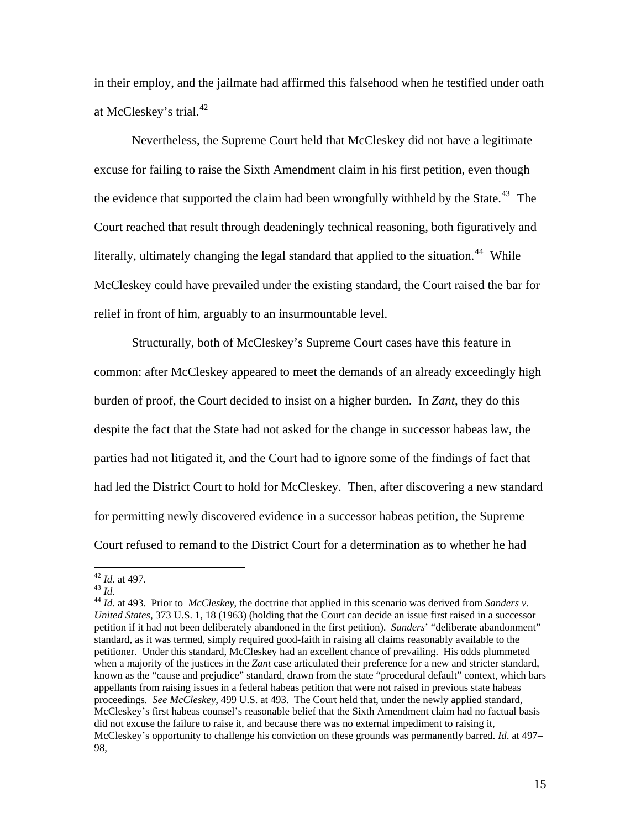in their employ, and the jailmate had affirmed this falsehood when he testified under oath at McCleskey's trial.<sup>[42](#page-15-0)</sup>

Nevertheless, the Supreme Court held that McCleskey did not have a legitimate excuse for failing to raise the Sixth Amendment claim in his first petition, even though the evidence that supported the claim had been wrongfully withheld by the State.<sup>[43](#page-15-1)</sup> The Court reached that result through deadeningly technical reasoning, both figuratively and literally, ultimately changing the legal standard that applied to the situation.<sup>[44](#page-15-2)</sup> While McCleskey could have prevailed under the existing standard, the Court raised the bar for relief in front of him, arguably to an insurmountable level.

 Structurally, both of McCleskey's Supreme Court cases have this feature in common: after McCleskey appeared to meet the demands of an already exceedingly high burden of proof, the Court decided to insist on a higher burden. In *Zant*, they do this despite the fact that the State had not asked for the change in successor habeas law, the parties had not litigated it, and the Court had to ignore some of the findings of fact that had led the District Court to hold for McCleskey. Then, after discovering a new standard for permitting newly discovered evidence in a successor habeas petition, the Supreme Court refused to remand to the District Court for a determination as to whether he had

<span id="page-15-0"></span> $42$  *Id.* at 497.

<span id="page-15-2"></span><span id="page-15-1"></span><sup>&</sup>lt;sup>43</sup> *Id.* 44 *Id.* at 493. Prior to *McCleskey*, the doctrine that applied in this scenario was derived from *Sanders v. United States*, 373 U.S. 1, 18 (1963) (holding that the Court can decide an issue first raised in a successor petition if it had not been deliberately abandoned in the first petition). *Sanders*' "deliberate abandonment" standard, as it was termed, simply required good-faith in raising all claims reasonably available to the petitioner. Under this standard, McCleskey had an excellent chance of prevailing. His odds plummeted when a majority of the justices in the *Zant* case articulated their preference for a new and stricter standard, known as the "cause and prejudice" standard, drawn from the state "procedural default" context, which bars appellants from raising issues in a federal habeas petition that were not raised in previous state habeas proceedings*. See McCleskey*, 499 U.S. at 493. The Court held that, under the newly applied standard, McCleskey's first habeas counsel's reasonable belief that the Sixth Amendment claim had no factual basis did not excuse the failure to raise it, and because there was no external impediment to raising it, McCleskey's opportunity to challenge his conviction on these grounds was permanently barred. *Id*. at 497– 98,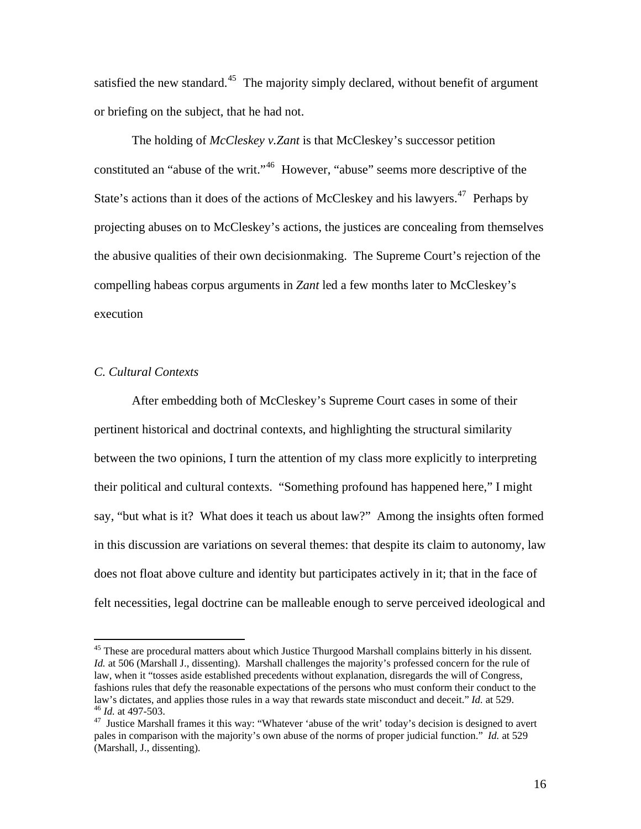satisfied the new standard.<sup>[45](#page-16-0)</sup> The majority simply declared, without benefit of argument or briefing on the subject, that he had not.

The holding of *McCleskey v.Zant* is that McCleskey's successor petition constituted an "abuse of the writ."[46](#page-16-1) However, "abuse" seems more descriptive of the State's actions than it does of the actions of McCleskey and his lawyers.<sup>[47](#page-16-2)</sup> Perhaps by projecting abuses on to McCleskey's actions, the justices are concealing from themselves the abusive qualities of their own decisionmaking. The Supreme Court's rejection of the compelling habeas corpus arguments in *Zant* led a few months later to McCleskey's execution

# *C. Cultural Contexts*

 $\overline{a}$ 

After embedding both of McCleskey's Supreme Court cases in some of their pertinent historical and doctrinal contexts, and highlighting the structural similarity between the two opinions, I turn the attention of my class more explicitly to interpreting their political and cultural contexts. "Something profound has happened here," I might say, "but what is it? What does it teach us about law?" Among the insights often formed in this discussion are variations on several themes: that despite its claim to autonomy, law does not float above culture and identity but participates actively in it; that in the face of felt necessities, legal doctrine can be malleable enough to serve perceived ideological and

<span id="page-16-0"></span><sup>45</sup> These are procedural matters about which Justice Thurgood Marshall complains bitterly in his dissent*. Id.* at 506 (Marshall J., dissenting). Marshall challenges the majority's professed concern for the rule of law, when it "tosses aside established precedents without explanation, disregards the will of Congress, fashions rules that defy the reasonable expectations of the persons who must conform their conduct to the law's dictates, and applies those rules in a way that rewards state misconduct and deceit." *Id.* at 529.<br><sup>46</sup> *Id.* at 497-503.<br><sup>47</sup> Justice Marshall frames it this way: "Whatever 'abuse of the writ' today's decision is

<span id="page-16-2"></span><span id="page-16-1"></span>pales in comparison with the majority's own abuse of the norms of proper judicial function." *Id.* at 529 (Marshall, J., dissenting)*.*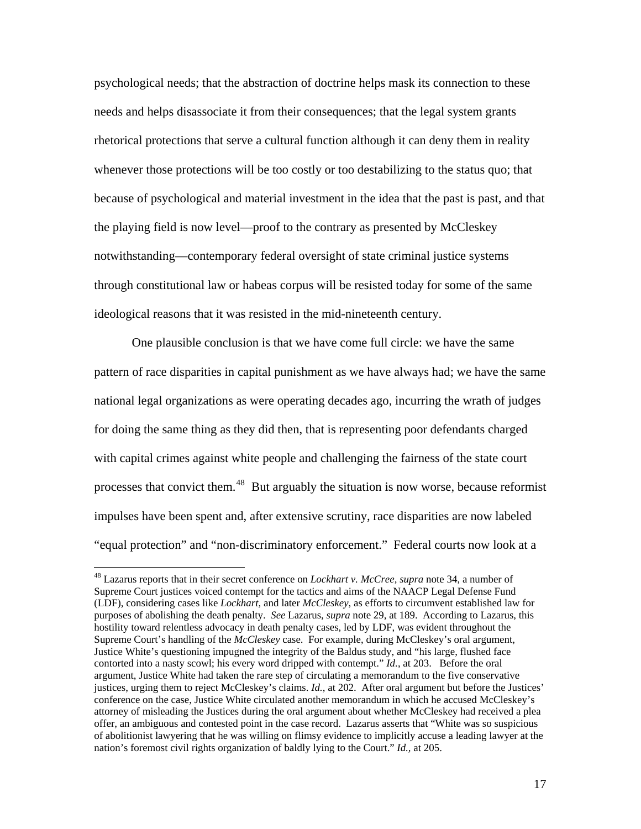psychological needs; that the abstraction of doctrine helps mask its connection to these needs and helps disassociate it from their consequences; that the legal system grants rhetorical protections that serve a cultural function although it can deny them in reality whenever those protections will be too costly or too destabilizing to the status quo; that because of psychological and material investment in the idea that the past is past, and that the playing field is now level—proof to the contrary as presented by McCleskey notwithstanding—contemporary federal oversight of state criminal justice systems through constitutional law or habeas corpus will be resisted today for some of the same ideological reasons that it was resisted in the mid-nineteenth century.

 One plausible conclusion is that we have come full circle: we have the same pattern of race disparities in capital punishment as we have always had; we have the same national legal organizations as were operating decades ago, incurring the wrath of judges for doing the same thing as they did then, that is representing poor defendants charged with capital crimes against white people and challenging the fairness of the state court processes that convict them.[48](#page-17-0) But arguably the situation is now worse, because reformist impulses have been spent and, after extensive scrutiny, race disparities are now labeled "equal protection" and "non-discriminatory enforcement." Federal courts now look at a

<span id="page-17-0"></span><sup>48</sup> Lazarus reports that in their secret conference on *Lockhart v. McCree, supra* note 34, a number of Supreme Court justices voiced contempt for the tactics and aims of the NAACP Legal Defense Fund (LDF), considering cases like *Lockhart,* and later *McCleskey*, as efforts to circumvent established law for purposes of abolishing the death penalty. *See* Lazarus, *supra* note 29, at 189. According to Lazarus, this hostility toward relentless advocacy in death penalty cases, led by LDF, was evident throughout the Supreme Court's handling of the *McCleskey* case. For example, during McCleskey's oral argument, Justice White's questioning impugned the integrity of the Baldus study, and "his large, flushed face contorted into a nasty scowl; his every word dripped with contempt." *Id.*, at 203. Before the oral argument, Justice White had taken the rare step of circulating a memorandum to the five conservative justices, urging them to reject McCleskey's claims. *Id.*, at 202. After oral argument but before the Justices' conference on the case, Justice White circulated another memorandum in which he accused McCleskey's attorney of misleading the Justices during the oral argument about whether McCleskey had received a plea offer, an ambiguous and contested point in the case record. Lazarus asserts that "White was so suspicious of abolitionist lawyering that he was willing on flimsy evidence to implicitly accuse a leading lawyer at the nation's foremost civil rights organization of baldly lying to the Court." *Id.,* at 205.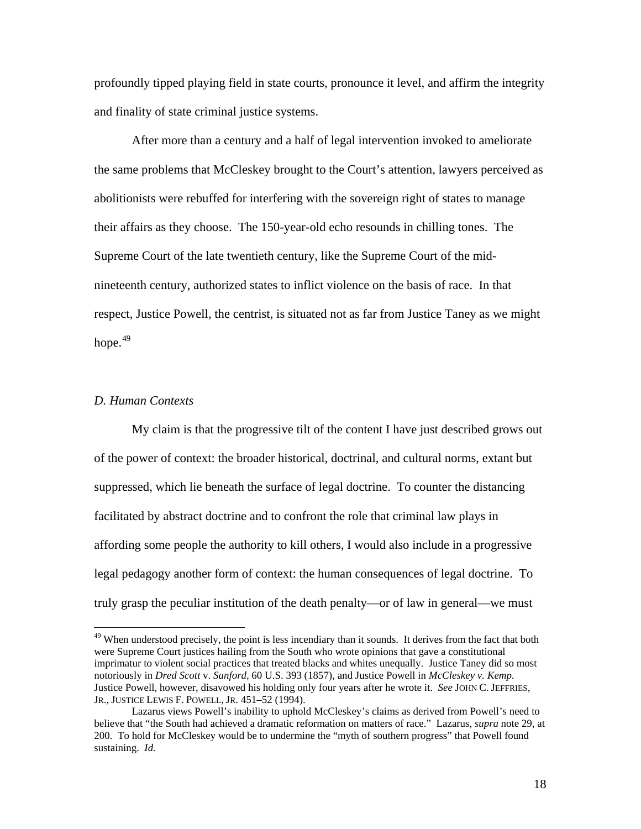profoundly tipped playing field in state courts, pronounce it level, and affirm the integrity and finality of state criminal justice systems.

After more than a century and a half of legal intervention invoked to ameliorate the same problems that McCleskey brought to the Court's attention, lawyers perceived as abolitionists were rebuffed for interfering with the sovereign right of states to manage their affairs as they choose. The 150-year-old echo resounds in chilling tones. The Supreme Court of the late twentieth century, like the Supreme Court of the midnineteenth century, authorized states to inflict violence on the basis of race. In that respect, Justice Powell, the centrist, is situated not as far from Justice Taney as we might hope. $49$ 

#### *D. Human Contexts*

 $\overline{a}$ 

My claim is that the progressive tilt of the content I have just described grows out of the power of context: the broader historical, doctrinal, and cultural norms, extant but suppressed, which lie beneath the surface of legal doctrine. To counter the distancing facilitated by abstract doctrine and to confront the role that criminal law plays in affording some people the authority to kill others, I would also include in a progressive legal pedagogy another form of context: the human consequences of legal doctrine. To truly grasp the peculiar institution of the death penalty—or of law in general—we must

<span id="page-18-0"></span><sup>&</sup>lt;sup>49</sup> When understood precisely, the point is less incendiary than it sounds. It derives from the fact that both were Supreme Court justices hailing from the South who wrote opinions that gave a constitutional imprimatur to violent social practices that treated blacks and whites unequally. Justice Taney did so most notoriously in *Dred Scott* v. *Sanford*, 60 U.S. 393 (1857), and Justice Powell in *McCleskey v. Kemp*. Justice Powell, however, disavowed his holding only four years after he wrote it. *See* JOHN C. JEFFRIES, JR., JUSTICE LEWIS F. POWELL, JR. 451–52 (1994).

Lazarus views Powell's inability to uphold McCleskey's claims as derived from Powell's need to believe that "the South had achieved a dramatic reformation on matters of race." Lazarus, *supra* note 29, at 200. To hold for McCleskey would be to undermine the "myth of southern progress" that Powell found sustaining. *Id.*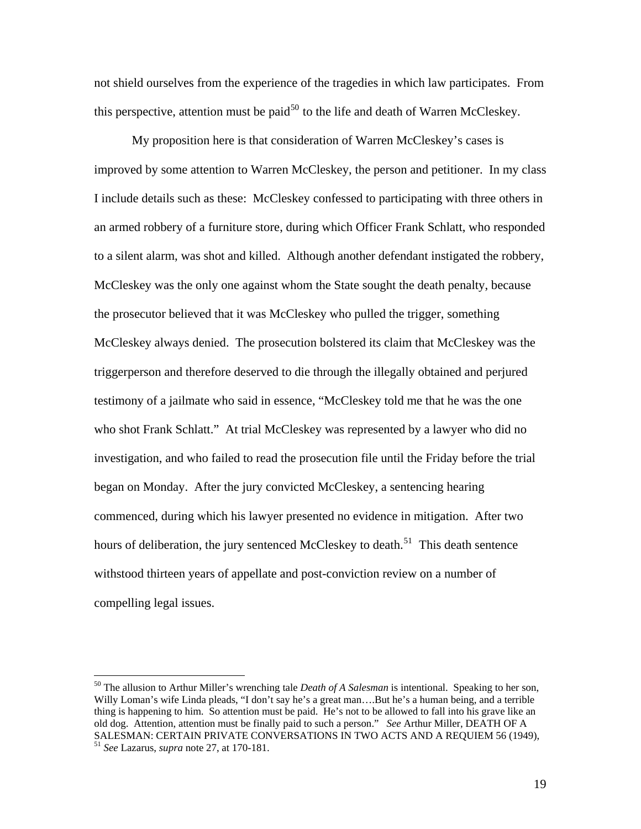not shield ourselves from the experience of the tragedies in which law participates. From this perspective, attention must be paid<sup>[50](#page-19-0)</sup> to the life and death of Warren McCleskey.

My proposition here is that consideration of Warren McCleskey's cases is improved by some attention to Warren McCleskey, the person and petitioner. In my class I include details such as these: McCleskey confessed to participating with three others in an armed robbery of a furniture store, during which Officer Frank Schlatt, who responded to a silent alarm, was shot and killed. Although another defendant instigated the robbery, McCleskey was the only one against whom the State sought the death penalty, because the prosecutor believed that it was McCleskey who pulled the trigger, something McCleskey always denied. The prosecution bolstered its claim that McCleskey was the triggerperson and therefore deserved to die through the illegally obtained and perjured testimony of a jailmate who said in essence, "McCleskey told me that he was the one who shot Frank Schlatt." At trial McCleskey was represented by a lawyer who did no investigation, and who failed to read the prosecution file until the Friday before the trial began on Monday. After the jury convicted McCleskey, a sentencing hearing commenced, during which his lawyer presented no evidence in mitigation. After two hours of deliberation, the jury sentenced McCleskey to death.<sup>[51](#page-19-1)</sup> This death sentence withstood thirteen years of appellate and post-conviction review on a number of compelling legal issues.

<span id="page-19-1"></span><span id="page-19-0"></span><sup>50</sup> The allusion to Arthur Miller's wrenching tale *Death of A Salesman* is intentional. Speaking to her son, Willy Loman's wife Linda pleads, "I don't say he's a great man….But he's a human being, and a terrible thing is happening to him. So attention must be paid. He's not to be allowed to fall into his grave like an old dog. Attention, attention must be finally paid to such a person." *See* Arthur Miller, DEATH OF A SALESMAN: CERTAIN PRIVATE CONVERSATIONS IN TWO ACTS AND A REQUIEM 56 (1949), 51 *See* Lazarus, *supra* note 27, at 170-181.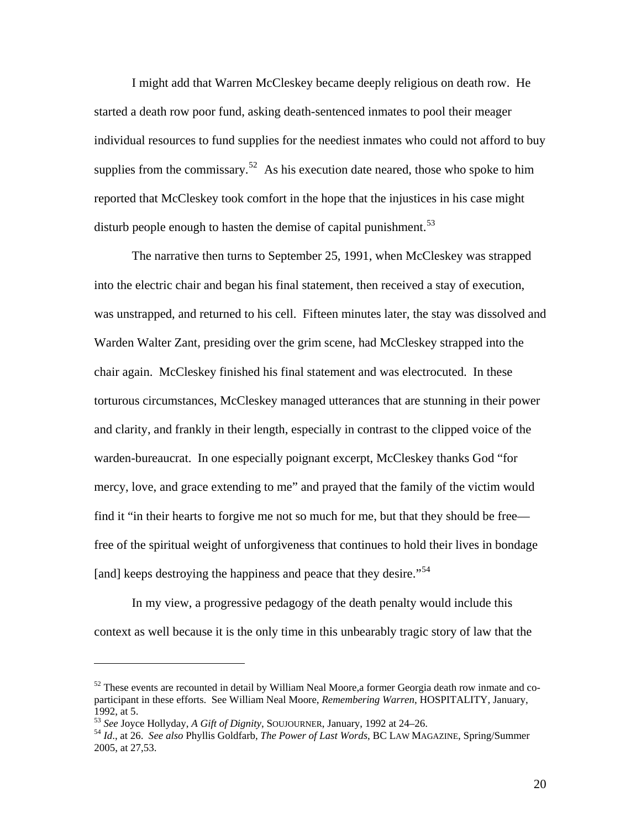I might add that Warren McCleskey became deeply religious on death row. He started a death row poor fund, asking death-sentenced inmates to pool their meager individual resources to fund supplies for the neediest inmates who could not afford to buy supplies from the commissary.<sup>[52](#page-20-0)</sup> As his execution date neared, those who spoke to him reported that McCleskey took comfort in the hope that the injustices in his case might disturb people enough to hasten the demise of capital punishment.<sup>[53](#page-20-1)</sup>

The narrative then turns to September 25, 1991, when McCleskey was strapped into the electric chair and began his final statement, then received a stay of execution, was unstrapped, and returned to his cell. Fifteen minutes later, the stay was dissolved and Warden Walter Zant, presiding over the grim scene, had McCleskey strapped into the chair again. McCleskey finished his final statement and was electrocuted. In these torturous circumstances, McCleskey managed utterances that are stunning in their power and clarity, and frankly in their length, especially in contrast to the clipped voice of the warden-bureaucrat. In one especially poignant excerpt, McCleskey thanks God "for mercy, love, and grace extending to me" and prayed that the family of the victim would find it "in their hearts to forgive me not so much for me, but that they should be free free of the spiritual weight of unforgiveness that continues to hold their lives in bondage [and] keeps destroying the happiness and peace that they desire.<sup>"[54](#page-20-2)</sup>

In my view, a progressive pedagogy of the death penalty would include this context as well because it is the only time in this unbearably tragic story of law that the

<span id="page-20-0"></span> $52$  These events are recounted in detail by William Neal Moore, a former Georgia death row inmate and coparticipant in these efforts. See William Neal Moore, *Remembering Warren*, HOSPITALITY, January, 1992, at 5.<br> $^{53}$  See Joyce Hollyday, A Gift of Dignity, SOUJOURNER, January, 1992 at 24–26.

<span id="page-20-1"></span>

<span id="page-20-2"></span><sup>&</sup>lt;sup>54</sup> *Id.*, at 26. *See also* Phyllis Goldfarb, *The Power of Last Words*, BC LAW MAGAZINE, Spring/Summer 2005, at 27,53.